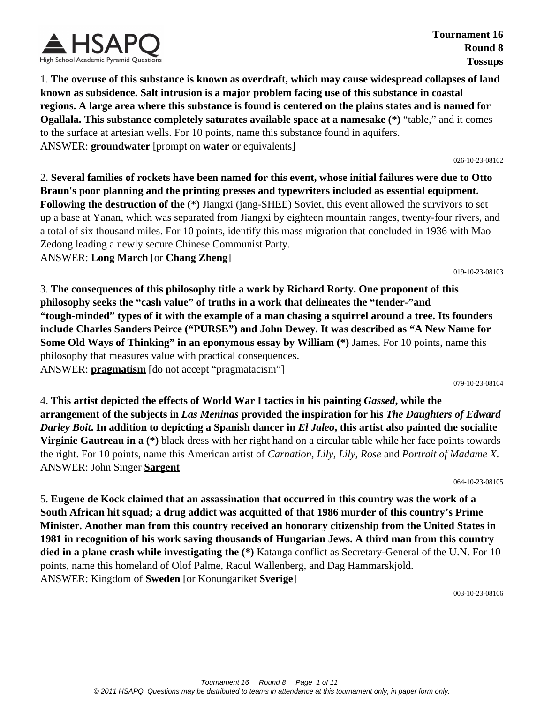

**Tournament 16 Round 8 Tossups**

1. **The overuse of this substance is known as overdraft, which may cause widespread collapses of land known as subsidence. Salt intrusion is a major problem facing use of this substance in coastal regions. A large area where this substance is found is centered on the plains states and is named for Ogallala. This substance completely saturates available space at a namesake (\*)** "table," and it comes to the surface at artesian wells. For 10 points, name this substance found in aquifers. ANSWER: **groundwater** [prompt on **water** or equivalents]

026-10-23-08102

2. **Several families of rockets have been named for this event, whose initial failures were due to Otto Braun's poor planning and the printing presses and typewriters included as essential equipment. Following the destruction of the (\*)** Jiangxi (jang-SHEE) Soviet, this event allowed the survivors to set up a base at Yanan, which was separated from Jiangxi by eighteen mountain ranges, twenty-four rivers, and a total of six thousand miles. For 10 points, identify this mass migration that concluded in 1936 with Mao Zedong leading a newly secure Chinese Communist Party. ANSWER: **Long March** [or **Chang Zheng**]

019-10-23-08103

3. **The consequences of this philosophy title a work by Richard Rorty. One proponent of this philosophy seeks the "cash value" of truths in a work that delineates the "tender-"and "tough-minded" types of it with the example of a man chasing a squirrel around a tree. Its founders include Charles Sanders Peirce ("PURSE") and John Dewey. It was described as "A New Name for Some Old Ways of Thinking" in an eponymous essay by William (\*)** James. For 10 points, name this philosophy that measures value with practical consequences. ANSWER: **pragmatism** [do not accept "pragmatacism"]

079-10-23-08104

4. **This artist depicted the effects of World War I tactics in his painting** *Gassed***, while the arrangement of the subjects in** *Las Meninas* **provided the inspiration for his** *The Daughters of Edward Darley Boit***. In addition to depicting a Spanish dancer in** *El Jaleo***, this artist also painted the socialite Virginie Gautreau in a (\*)** black dress with her right hand on a circular table while her face points towards the right. For 10 points, name this American artist of *Carnation, Lily, Lily, Rose* and *Portrait of Madame X*. ANSWER: John Singer **Sargent**

064-10-23-08105

5. **Eugene de Kock claimed that an assassination that occurred in this country was the work of a South African hit squad; a drug addict was acquitted of that 1986 murder of this country's Prime Minister. Another man from this country received an honorary citizenship from the United States in 1981 in recognition of his work saving thousands of Hungarian Jews. A third man from this country died in a plane crash while investigating the (\*)** Katanga conflict as Secretary-General of the U.N. For 10 points, name this homeland of Olof Palme, Raoul Wallenberg, and Dag Hammarskjold. ANSWER: Kingdom of **Sweden** [or Konungariket **Sverige**]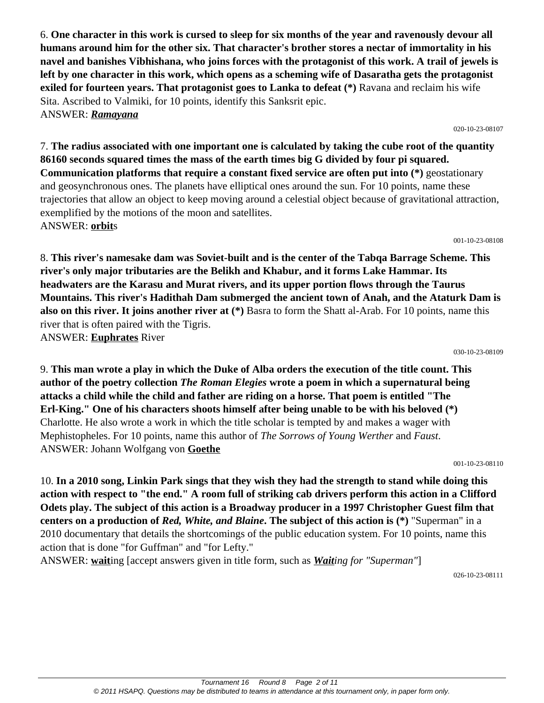6. **One character in this work is cursed to sleep for six months of the year and ravenously devour all humans around him for the other six. That character's brother stores a nectar of immortality in his navel and banishes Vibhishana, who joins forces with the protagonist of this work. A trail of jewels is left by one character in this work, which opens as a scheming wife of Dasaratha gets the protagonist exiled for fourteen years. That protagonist goes to Lanka to defeat (\*)** Ravana and reclaim his wife Sita. Ascribed to Valmiki, for 10 points, identify this Sanksrit epic. ANSWER: *Ramayana*

7. **The radius associated with one important one is calculated by taking the cube root of the quantity 86160 seconds squared times the mass of the earth times big G divided by four pi squared. Communication platforms that require a constant fixed service are often put into (\*)** geostationary and geosynchronous ones. The planets have elliptical ones around the sun. For 10 points, name these trajectories that allow an object to keep moving around a celestial object because of gravitational attraction, exemplified by the motions of the moon and satellites. ANSWER: **orbit**s

8. **This river's namesake dam was Soviet-built and is the center of the Tabqa Barrage Scheme. This river's only major tributaries are the Belikh and Khabur, and it forms Lake Hammar. Its headwaters are the Karasu and Murat rivers, and its upper portion flows through the Taurus Mountains. This river's Hadithah Dam submerged the ancient town of Anah, and the Ataturk Dam is also on this river. It joins another river at (\*)** Basra to form the Shatt al-Arab. For 10 points, name this river that is often paired with the Tigris. ANSWER: **Euphrates** River

9. **This man wrote a play in which the Duke of Alba orders the execution of the title count. This author of the poetry collection** *The Roman Elegies* **wrote a poem in which a supernatural being attacks a child while the child and father are riding on a horse. That poem is entitled "The Erl-King." One of his characters shoots himself after being unable to be with his beloved (\*)** Charlotte. He also wrote a work in which the title scholar is tempted by and makes a wager with Mephistopheles. For 10 points, name this author of *The Sorrows of Young Werther* and *Faust*. ANSWER: Johann Wolfgang von **Goethe**

10. **In a 2010 song, Linkin Park sings that they wish they had the strength to stand while doing this action with respect to "the end." A room full of striking cab drivers perform this action in a Clifford Odets play. The subject of this action is a Broadway producer in a 1997 Christopher Guest film that centers on a production of** *Red, White, and Blaine***. The subject of this action is (\*)** "Superman" in a 2010 documentary that details the shortcomings of the public education system. For 10 points, name this action that is done "for Guffman" and "for Lefty."

ANSWER: **wait**ing [accept answers given in title form, such as *Waiting for "Superman"*]

026-10-23-08111

# 030-10-23-08109

001-10-23-08110

# 020-10-23-08107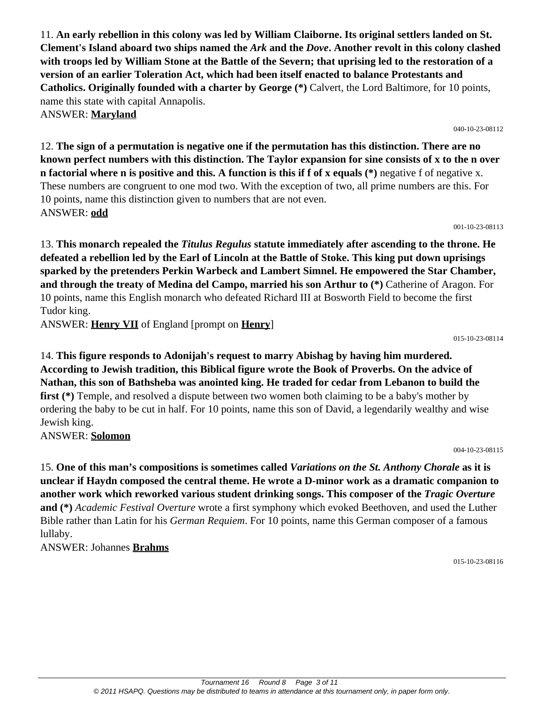11. **An early rebellion in this colony was led by William Claiborne. Its original settlers landed on St. Clement's Island aboard two ships named the** *Ark* **and the** *Dove***. Another revolt in this colony clashed with troops led by William Stone at the Battle of the Severn; that uprising led to the restoration of a version of an earlier Toleration Act, which had been itself enacted to balance Protestants and Catholics. Originally founded with a charter by George (\*)** Calvert, the Lord Baltimore, for 10 points, name this state with capital Annapolis.

ANSWER: **Maryland**

12. **The sign of a permutation is negative one if the permutation has this distinction. There are no known perfect numbers with this distinction. The Taylor expansion for sine consists of x to the n over n factorial where n is positive and this. A function is this if f of x equals (\*)** negative f of negative x. These numbers are congruent to one mod two. With the exception of two, all prime numbers are this. For 10 points, name this distinction given to numbers that are not even. ANSWER: **odd**

001-10-23-08113

13. **This monarch repealed the** *Titulus Regulus* **statute immediately after ascending to the throne. He defeated a rebellion led by the Earl of Lincoln at the Battle of Stoke. This king put down uprisings sparked by the pretenders Perkin Warbeck and Lambert Simnel. He empowered the Star Chamber, and through the treaty of Medina del Campo, married his son Arthur to (\*)** Catherine of Aragon. For 10 points, name this English monarch who defeated Richard III at Bosworth Field to become the first Tudor king.

ANSWER: **Henry VII** of England [prompt on **Henry**]

015-10-23-08114

14. **This figure responds to Adonijah's request to marry Abishag by having him murdered. According to Jewish tradition, this Biblical figure wrote the Book of Proverbs. On the advice of Nathan, this son of Bathsheba was anointed king. He traded for cedar from Lebanon to build the first** (\*) Temple, and resolved a dispute between two women both claiming to be a baby's mother by ordering the baby to be cut in half. For 10 points, name this son of David, a legendarily wealthy and wise Jewish king.

ANSWER: **Solomon**

004-10-23-08115

15. **One of this man's compositions is sometimes called** *Variations on the St. Anthony Chorale* **as it is unclear if Haydn composed the central theme. He wrote a D-minor work as a dramatic companion to another work which reworked various student drinking songs. This composer of the** *Tragic Overture* **and (\*)** *Academic Festival Overture* wrote a first symphony which evoked Beethoven, and used the Luther Bible rather than Latin for his *German Requiem*. For 10 points, name this German composer of a famous lullaby.

ANSWER: Johannes **Brahms**

015-10-23-08116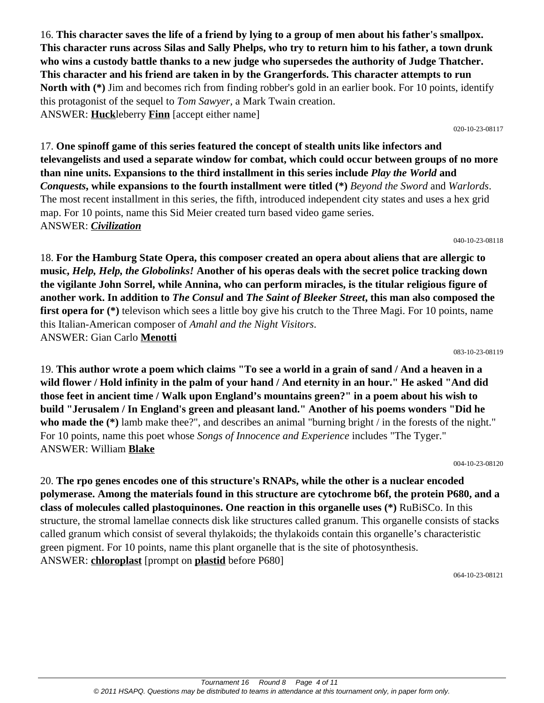16. **This character saves the life of a friend by lying to a group of men about his father's smallpox. This character runs across Silas and Sally Phelps, who try to return him to his father, a town drunk who wins a custody battle thanks to a new judge who supersedes the authority of Judge Thatcher. This character and his friend are taken in by the Grangerfords. This character attempts to run North with (\*)** Jim and becomes rich from finding robber's gold in an earlier book. For 10 points, identify this protagonist of the sequel to *Tom Sawyer,* a Mark Twain creation. ANSWER: **Huck**leberry **Finn** [accept either name]

020-10-23-08117

17. **One spinoff game of this series featured the concept of stealth units like infectors and televangelists and used a separate window for combat, which could occur between groups of no more than nine units. Expansions to the third installment in this series include** *Play the World* **and**  *Conquests***, while expansions to the fourth installment were titled (\*)** *Beyond the Sword* and *Warlords*. The most recent installment in this series, the fifth, introduced independent city states and uses a hex grid map. For 10 points, name this Sid Meier created turn based video game series. ANSWER: *Civilization*

040-10-23-08118

18. **For the Hamburg State Opera, this composer created an opera about aliens that are allergic to music,** *Help, Help, the Globolinks!* **Another of his operas deals with the secret police tracking down the vigilante John Sorrel, while Annina, who can perform miracles, is the titular religious figure of another work. In addition to** *The Consul* **and** *The Saint of Bleeker Street***, this man also composed the first opera for** (\*) televison which sees a little boy give his crutch to the Three Magi. For 10 points, name this Italian-American composer of *Amahl and the Night Visitors*. ANSWER: Gian Carlo **Menotti**

083-10-23-08119

19. **This author wrote a poem which claims "To see a world in a grain of sand / And a heaven in a wild flower / Hold infinity in the palm of your hand / And eternity in an hour." He asked "And did those feet in ancient time / Walk upon England's mountains green?" in a poem about his wish to build "Jerusalem / In England's green and pleasant land." Another of his poems wonders "Did he who made the (\*)** lamb make thee?", and describes an animal "burning bright / in the forests of the night." For 10 points, name this poet whose *Songs of Innocence and Experience* includes "The Tyger." ANSWER: William **Blake**

004-10-23-08120

20. **The rpo genes encodes one of this structure's RNAPs, while the other is a nuclear encoded polymerase. Among the materials found in this structure are cytochrome b6f, the protein P680, and a class of molecules called plastoquinones. One reaction in this organelle uses (\*)** RuBiSCo. In this structure, the stromal lamellae connects disk like structures called granum. This organelle consists of stacks called granum which consist of several thylakoids; the thylakoids contain this organelle's characteristic green pigment. For 10 points, name this plant organelle that is the site of photosynthesis. ANSWER: **chloroplast** [prompt on **plastid** before P680]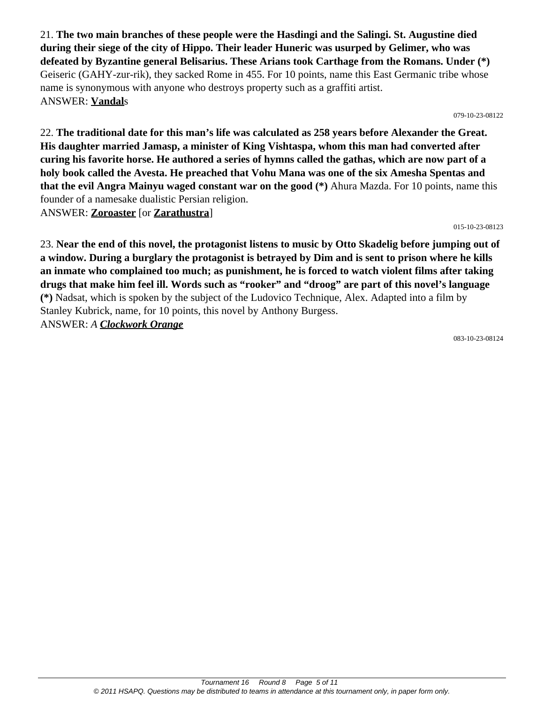21. **The two main branches of these people were the Hasdingi and the Salingi. St. Augustine died during their siege of the city of Hippo. Their leader Huneric was usurped by Gelimer, who was defeated by Byzantine general Belisarius. These Arians took Carthage from the Romans. Under (\*)** Geiseric (GAHY-zur-rik), they sacked Rome in 455. For 10 points, name this East Germanic tribe whose name is synonymous with anyone who destroys property such as a graffiti artist. ANSWER: **Vandal**s

079-10-23-08122

22. **The traditional date for this man's life was calculated as 258 years before Alexander the Great. His daughter married Jamasp, a minister of King Vishtaspa, whom this man had converted after curing his favorite horse. He authored a series of hymns called the gathas, which are now part of a holy book called the Avesta. He preached that Vohu Mana was one of the six Amesha Spentas and that the evil Angra Mainyu waged constant war on the good (\*)** Ahura Mazda. For 10 points, name this founder of a namesake dualistic Persian religion. ANSWER: **Zoroaster** [or **Zarathustra**]

015-10-23-08123

23. **Near the end of this novel, the protagonist listens to music by Otto Skadelig before jumping out of a window. During a burglary the protagonist is betrayed by Dim and is sent to prison where he kills an inmate who complained too much; as punishment, he is forced to watch violent films after taking drugs that make him feel ill. Words such as "rooker" and "droog" are part of this novel's language (\*)** Nadsat, which is spoken by the subject of the Ludovico Technique, Alex. Adapted into a film by Stanley Kubrick, name, for 10 points, this novel by Anthony Burgess. ANSWER: *A Clockwork Orange*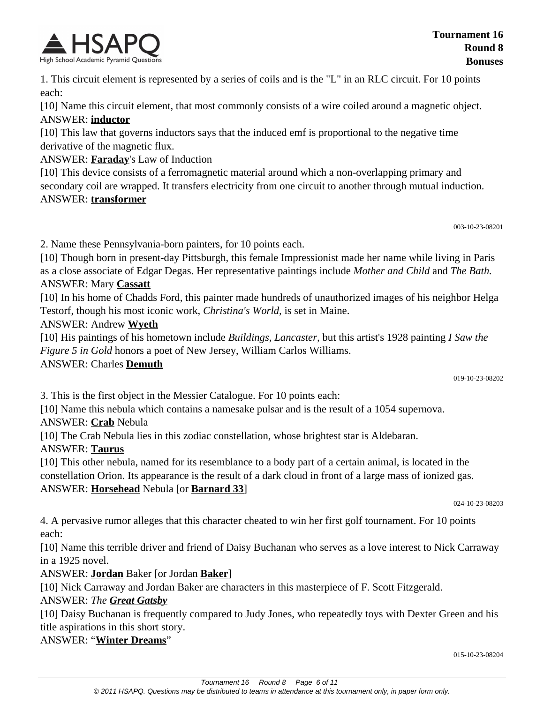

1. This circuit element is represented by a series of coils and is the "L" in an RLC circuit. For 10 points each:

[10] Name this circuit element, that most commonly consists of a wire coiled around a magnetic object. ANSWER: **inductor**

[10] This law that governs inductors says that the induced emf is proportional to the negative time derivative of the magnetic flux.

ANSWER: **Faraday**'s Law of Induction

[10] This device consists of a ferromagnetic material around which a non-overlapping primary and secondary coil are wrapped. It transfers electricity from one circuit to another through mutual induction. ANSWER: **transformer**

003-10-23-08201

2. Name these Pennsylvania-born painters, for 10 points each.

[10] Though born in present-day Pittsburgh, this female Impressionist made her name while living in Paris as a close associate of Edgar Degas. Her representative paintings include *Mother and Child* and *The Bath.* ANSWER: Mary **Cassatt**

[10] In his home of Chadds Ford, this painter made hundreds of unauthorized images of his neighbor Helga Testorf, though his most iconic work, *Christina's World,* is set in Maine.

#### ANSWER: Andrew **Wyeth**

[10] His paintings of his hometown include *Buildings, Lancaster,* but this artist's 1928 painting *I Saw the Figure 5 in Gold* honors a poet of New Jersey, William Carlos Williams.

#### ANSWER: Charles **Demuth**

019-10-23-08202

3. This is the first object in the Messier Catalogue. For 10 points each:

[10] Name this nebula which contains a namesake pulsar and is the result of a 1054 supernova.

ANSWER: **Crab** Nebula

[10] The Crab Nebula lies in this zodiac constellation, whose brightest star is Aldebaran.

#### ANSWER: **Taurus**

[10] This other nebula, named for its resemblance to a body part of a certain animal, is located in the constellation Orion. Its appearance is the result of a dark cloud in front of a large mass of ionized gas. ANSWER: **Horsehead** Nebula [or **Barnard 33**]

024-10-23-08203

4. A pervasive rumor alleges that this character cheated to win her first golf tournament. For 10 points each:

[10] Name this terrible driver and friend of Daisy Buchanan who serves as a love interest to Nick Carraway in a 1925 novel.

ANSWER: **Jordan** Baker [or Jordan **Baker**]

[10] Nick Carraway and Jordan Baker are characters in this masterpiece of F. Scott Fitzgerald.

#### ANSWER: *The Great Gatsby*

[10] Daisy Buchanan is frequently compared to Judy Jones, who repeatedly toys with Dexter Green and his title aspirations in this short story.

#### ANSWER: "**Winter Dreams**"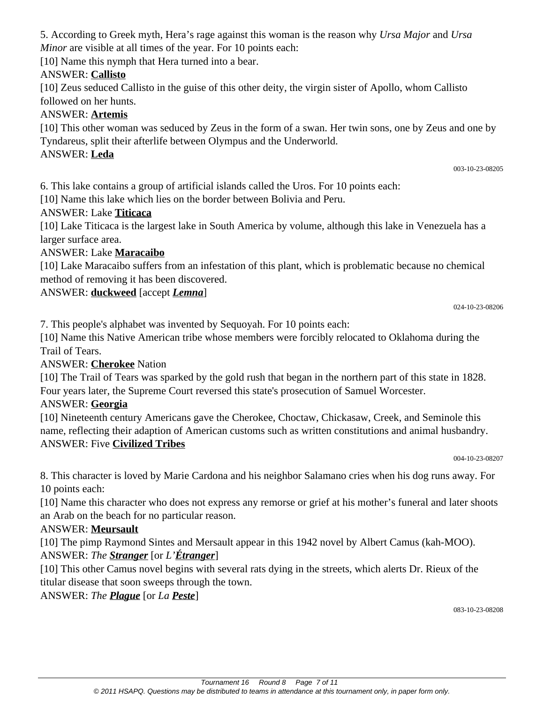5. According to Greek myth, Hera's rage against this woman is the reason why *Ursa Major* and *Ursa Minor* are visible at all times of the year. For 10 points each:

[10] Name this nymph that Hera turned into a bear.

#### ANSWER: **Callisto**

[10] Zeus seduced Callisto in the guise of this other deity, the virgin sister of Apollo, whom Callisto followed on her hunts.

#### ANSWER: **Artemis**

[10] This other woman was seduced by Zeus in the form of a swan. Her twin sons, one by Zeus and one by Tyndareus, split their afterlife between Olympus and the Underworld.

#### ANSWER: **Leda**

6. This lake contains a group of artificial islands called the Uros. For 10 points each:

[10] Name this lake which lies on the border between Bolivia and Peru.

#### ANSWER: Lake **Titicaca**

[10] Lake Titicaca is the largest lake in South America by volume, although this lake in Venezuela has a larger surface area.

#### ANSWER: Lake **Maracaibo**

[10] Lake Maracaibo suffers from an infestation of this plant, which is problematic because no chemical method of removing it has been discovered.

#### ANSWER: **duckweed** [accept *Lemna*]

024-10-23-08206

003-10-23-08205

7. This people's alphabet was invented by Sequoyah. For 10 points each:

[10] Name this Native American tribe whose members were forcibly relocated to Oklahoma during the Trail of Tears.

#### ANSWER: **Cherokee** Nation

[10] The Trail of Tears was sparked by the gold rush that began in the northern part of this state in 1828. Four years later, the Supreme Court reversed this state's prosecution of Samuel Worcester.

#### ANSWER: **Georgia**

[10] Nineteenth century Americans gave the Cherokee, Choctaw, Chickasaw, Creek, and Seminole this name, reflecting their adaption of American customs such as written constitutions and animal husbandry. ANSWER: Five **Civilized Tribes**

004-10-23-08207

8. This character is loved by Marie Cardona and his neighbor Salamano cries when his dog runs away. For 10 points each:

[10] Name this character who does not express any remorse or grief at his mother's funeral and later shoots an Arab on the beach for no particular reason.

#### ANSWER: **Meursault**

[10] The pimp Raymond Sintes and Mersault appear in this 1942 novel by Albert Camus (kah-MOO). ANSWER: *The Stranger* [or *L'Étranger*]

[10] This other Camus novel begins with several rats dying in the streets, which alerts Dr. Rieux of the titular disease that soon sweeps through the town.

ANSWER: *The Plague* [or *La Peste*]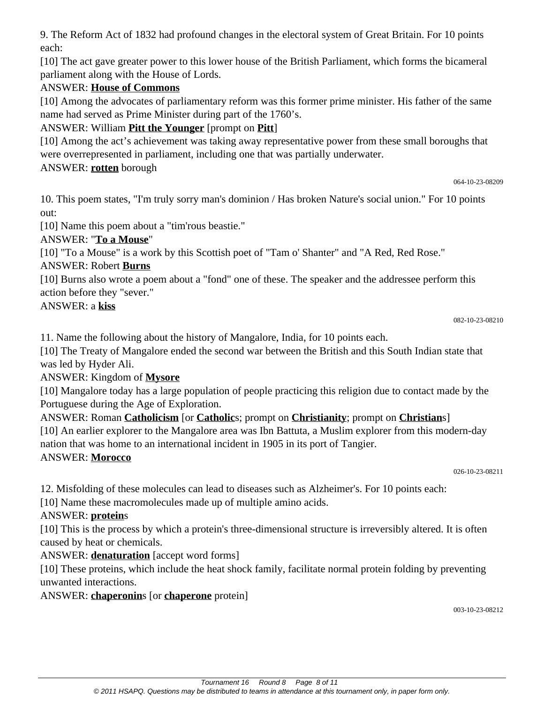9. The Reform Act of 1832 had profound changes in the electoral system of Great Britain. For 10 points each:

[10] The act gave greater power to this lower house of the British Parliament, which forms the bicameral parliament along with the House of Lords.

#### ANSWER: **House of Commons**

[10] Among the advocates of parliamentary reform was this former prime minister. His father of the same name had served as Prime Minister during part of the 1760's.

### ANSWER: William **Pitt the Younger** [prompt on **Pitt**]

[10] Among the act's achievement was taking away representative power from these small boroughs that were overrepresented in parliament, including one that was partially underwater.

ANSWER: **rotten** borough

```
064-10-23-08209
```
10. This poem states, "I'm truly sorry man's dominion / Has broken Nature's social union." For 10 points out:

[10] Name this poem about a "tim'rous beastie."

ANSWER: "**To a Mouse**"

[10] "To a Mouse" is a work by this Scottish poet of "Tam o' Shanter" and "A Red, Red Rose."

### ANSWER: Robert **Burns**

[10] Burns also wrote a poem about a "fond" one of these. The speaker and the addressee perform this action before they "sever."

ANSWER: a **kiss**

```
082-10-23-08210
```
11. Name the following about the history of Mangalore, India, for 10 points each.

[10] The Treaty of Mangalore ended the second war between the British and this South Indian state that was led by Hyder Ali.

### ANSWER: Kingdom of **Mysore**

[10] Mangalore today has a large population of people practicing this religion due to contact made by the Portuguese during the Age of Exploration.

#### ANSWER: Roman **Catholicism** [or **Catholic**s; prompt on **Christianity**; prompt on **Christian**s]

[10] An earlier explorer to the Mangalore area was Ibn Battuta, a Muslim explorer from this modern-day nation that was home to an international incident in 1905 in its port of Tangier.

### ANSWER: **Morocco**

026-10-23-08211

12. Misfolding of these molecules can lead to diseases such as Alzheimer's. For 10 points each:

[10] Name these macromolecules made up of multiple amino acids.

#### ANSWER: **protein**s

[10] This is the process by which a protein's three-dimensional structure is irreversibly altered. It is often caused by heat or chemicals.

### ANSWER: **denaturation** [accept word forms]

[10] These proteins, which include the heat shock family, facilitate normal protein folding by preventing unwanted interactions.

ANSWER: **chaperonin**s [or **chaperone** protein]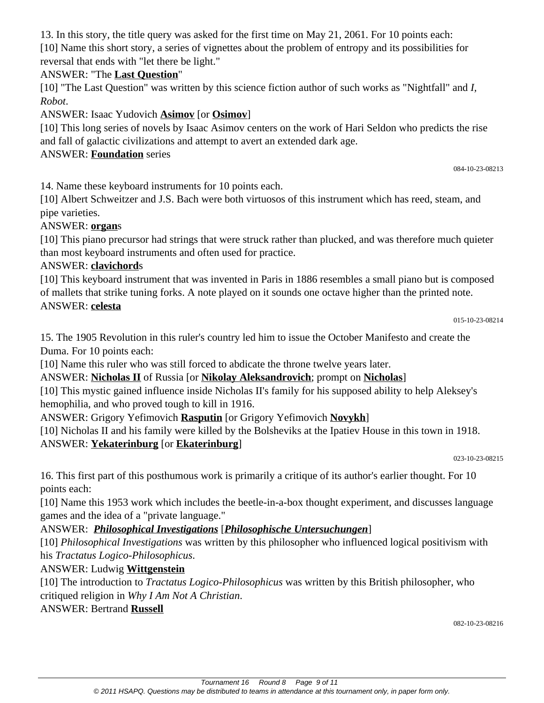13. In this story, the title query was asked for the first time on May 21, 2061. For 10 points each:

[10] Name this short story, a series of vignettes about the problem of entropy and its possibilities for reversal that ends with "let there be light."

#### ANSWER: "The **Last Question**"

[10] "The Last Question" was written by this science fiction author of such works as "Nightfall" and *I, Robot*.

ANSWER: Isaac Yudovich **Asimov** [or **Osimov**]

[10] This long series of novels by Isaac Asimov centers on the work of Hari Seldon who predicts the rise and fall of galactic civilizations and attempt to avert an extended dark age.

#### ANSWER: **Foundation** series

084-10-23-08213

14. Name these keyboard instruments for 10 points each.

[10] Albert Schweitzer and J.S. Bach were both virtuosos of this instrument which has reed, steam, and pipe varieties.

#### ANSWER: **organ**s

[10] This piano precursor had strings that were struck rather than plucked, and was therefore much quieter than most keyboard instruments and often used for practice.

#### ANSWER: **clavichord**s

[10] This keyboard instrument that was invented in Paris in 1886 resembles a small piano but is composed of mallets that strike tuning forks. A note played on it sounds one octave higher than the printed note. ANSWER: **celesta**

015-10-23-08214

15. The 1905 Revolution in this ruler's country led him to issue the October Manifesto and create the Duma. For 10 points each:

[10] Name this ruler who was still forced to abdicate the throne twelve years later.

ANSWER: **Nicholas II** of Russia [or **Nikolay Aleksandrovich**; prompt on **Nicholas**]

[10] This mystic gained influence inside Nicholas II's family for his supposed ability to help Aleksey's hemophilia, and who proved tough to kill in 1916.

ANSWER: Grigory Yefimovich **Rasputin** [or Grigory Yefimovich **Novykh**]

[10] Nicholas II and his family were killed by the Bolsheviks at the Ipatiev House in this town in 1918. ANSWER: **Yekaterinburg** [or **Ekaterinburg**]

023-10-23-08215

16. This first part of this posthumous work is primarily a critique of its author's earlier thought. For 10 points each:

[10] Name this 1953 work which includes the beetle-in-a-box thought experiment, and discusses language games and the idea of a "private language."

#### ANSWER: *Philosophical Investigations* [*Philosophische Untersuchungen*]

[10] *Philosophical Investigations* was written by this philosopher who influenced logical positivism with his *Tractatus Logico-Philosophicus*.

ANSWER: Ludwig **Wittgenstein**

[10] The introduction to *Tractatus Logico-Philosophicus* was written by this British philosopher, who critiqued religion in *Why I Am Not A Christian*.

ANSWER: Bertrand **Russell**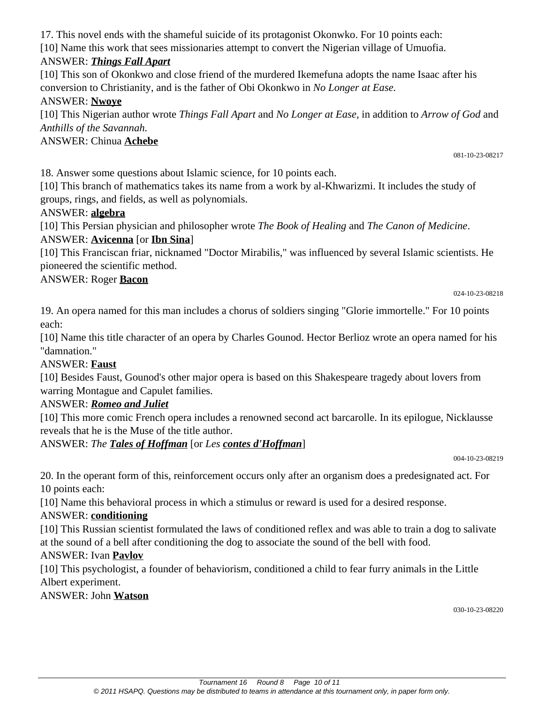17. This novel ends with the shameful suicide of its protagonist Okonwko. For 10 points each:

[10] Name this work that sees missionaries attempt to convert the Nigerian village of Umuofia.

# ANSWER: *Things Fall Apart*

[10] This son of Okonkwo and close friend of the murdered Ikemefuna adopts the name Isaac after his conversion to Christianity, and is the father of Obi Okonkwo in *No Longer at Ease.*

# ANSWER: **Nwoye**

[10] This Nigerian author wrote *Things Fall Apart* and *No Longer at Ease,* in addition to *Arrow of God* and *Anthills of the Savannah.*

# ANSWER: Chinua **Achebe**

081-10-23-08217

18. Answer some questions about Islamic science, for 10 points each.

[10] This branch of mathematics takes its name from a work by al-Khwarizmi. It includes the study of groups, rings, and fields, as well as polynomials.

# ANSWER: **algebra**

[10] This Persian physician and philosopher wrote *The Book of Healing* and *The Canon of Medicine*. ANSWER: **Avicenna** [or **Ibn Sina**]

[10] This Franciscan friar, nicknamed "Doctor Mirabilis," was influenced by several Islamic scientists. He pioneered the scientific method.

# ANSWER: Roger **Bacon**

024-10-23-08218

19. An opera named for this man includes a chorus of soldiers singing "Glorie immortelle." For 10 points each:

[10] Name this title character of an opera by Charles Gounod. Hector Berlioz wrote an opera named for his "damnation."

#### ANSWER: **Faust**

[10] Besides Faust, Gounod's other major opera is based on this Shakespeare tragedy about lovers from warring Montague and Capulet families.

### ANSWER: *Romeo and Juliet*

[10] This more comic French opera includes a renowned second act barcarolle. In its epilogue, Nicklausse reveals that he is the Muse of the title author.

# ANSWER: *The Tales of Hoffman* [or *Les contes d'Hoffman*]

004-10-23-08219

20. In the operant form of this, reinforcement occurs only after an organism does a predesignated act. For 10 points each:

[10] Name this behavioral process in which a stimulus or reward is used for a desired response.

### ANSWER: **conditioning**

[10] This Russian scientist formulated the laws of conditioned reflex and was able to train a dog to salivate at the sound of a bell after conditioning the dog to associate the sound of the bell with food.

### ANSWER: Ivan **Pavlov**

[10] This psychologist, a founder of behaviorism, conditioned a child to fear furry animals in the Little Albert experiment.

### ANSWER: John **Watson**